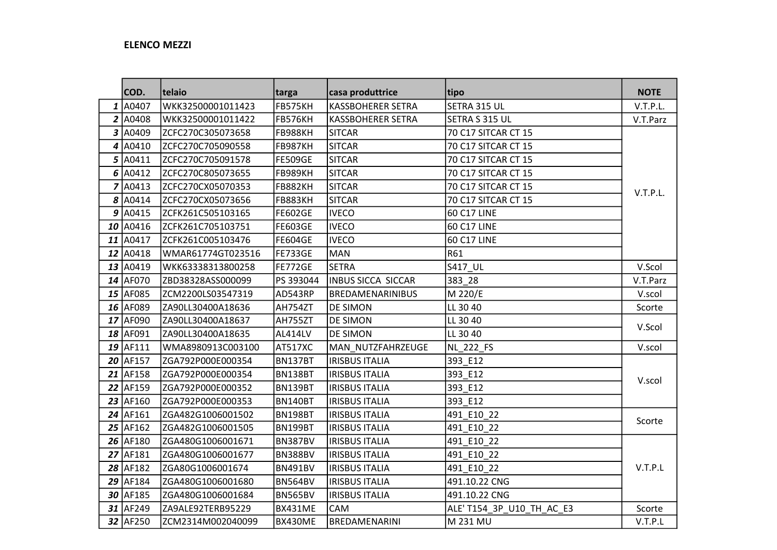## ELENCO MEZZI

|   | COD.           | telaio             | targa          | casa produttrice         | tipo                     | <b>NOTE</b> |
|---|----------------|--------------------|----------------|--------------------------|--------------------------|-------------|
|   | 1 A0407        | WKK32500001011423  | FB575KH        | <b>KASSBOHERER SETRA</b> | SETRA 315 UL             | V.T.P.L.    |
|   | 2 A0408        | WKK32500001011422  | FB576KH        | <b>KASSBOHERER SETRA</b> | SETRA S 315 UL           | V.T.Parz    |
|   | 3 A0409        | ZCFC270C305073658  | <b>FB988KH</b> | <b>SITCAR</b>            | 70 C17 SITCAR CT 15      |             |
| 4 | A0410          | ZCFC270C705090558  | <b>FB987KH</b> | <b>SITCAR</b>            | 70 C17 SITCAR CT 15      |             |
|   | 5 A0411        | ZCFC270C705091578  | <b>FE509GE</b> | <b>SITCAR</b>            | 70 C17 SITCAR CT 15      |             |
|   | $6 \mid$ A0412 | ZCFC270C805073655  | FB989KH        | <b>SITCAR</b>            | 70 C17 SITCAR CT 15      |             |
|   | 7 A0413        | ZCFC270CX05070353  | <b>FB882KH</b> | <b>SITCAR</b>            | 70 C17 SITCAR CT 15      | V.T.P.L.    |
|   | 8 A0414        | ZCFC270CX05073656  | <b>FB883KH</b> | <b>SITCAR</b>            | 70 C17 SITCAR CT 15      |             |
|   | 9 A0415        | ZCFK261C505103165  | <b>FE602GE</b> | <b>IVECO</b>             | 60 C17 LINE              |             |
|   | $10$ A0416     | ZCFK261C705103751  | <b>FE603GE</b> | <b>IVECO</b>             | 60 C17 LINE              |             |
|   | $11$ $ $ A0417 | ZCFK261C005103476  | <b>FE604GE</b> | <b>IVECO</b>             | 60 C17 LINE              |             |
|   | $12$ $A0418$   | WMAR61774GT023516  | <b>FE733GE</b> | MAN                      | R61                      |             |
|   | 13 A0419       | WKK63338313800258  | <b>FE772GE</b> | <b>SETRA</b>             | S417_UL                  | V.Scol      |
|   | 14 AF070       | ZBD38328ASS000099  | PS 393044      | INBUS SICCA SICCAR       | 383_28                   | V.T.Parz    |
|   | 15 AF085       | ZCM2200LS03547319  | AD543RP        | <b>BREDAMENARINIBUS</b>  | M 220/E                  | V.scol      |
|   | 16 AF089       | ZA90LL30400A18636  | AH754ZT        | <b>DE SIMON</b>          | LL 30 40                 | Scorte      |
|   | 17 AF090       | ZA90LL30400A18637  | AH755ZT        | <b>DE SIMON</b>          | LL 30 40                 | V.Scol      |
|   | 18 AF091       | ZA90LL30400A18635  | <b>AL414LV</b> | <b>DE SIMON</b>          | LL 30 40                 |             |
|   | 19 AF111       | WMA8980913C003100  | AT517XC        | MAN_NUTZFAHRZEUGE        | NL_222_FS                | V.scol      |
|   | 20 AF157       | ZGA792P000E000354  | BN137BT        | <b>IRISBUS ITALIA</b>    | 393_E12                  |             |
|   | 21 AF158       | ZGA792P000E000354  | <b>BN138BT</b> | <b>IRISBUS ITALIA</b>    | 393 E12                  | V.scol      |
|   | 22 AF159       | ZGA792P000E000352  | <b>BN139BT</b> | <b>IRISBUS ITALIA</b>    | 393 E12                  |             |
|   | 23 AF160       | ZGA792P000E000353  | <b>BN140BT</b> | <b>IRISBUS ITALIA</b>    | 393 E12                  |             |
|   | 24 AF161       | ZGA482G1006001502  | <b>BN198BT</b> | <b>IRISBUS ITALIA</b>    | 491 E10 22               | Scorte      |
|   | $25$ AF162     | ZGA482G1006001505  | <b>BN199BT</b> | <b>IRISBUS ITALIA</b>    | 491 E10 22               |             |
|   | 26 AF180       | ZGA480G1006001671  | <b>BN387BV</b> | <b>IRISBUS ITALIA</b>    | 491 E10 22               |             |
|   | 27 AF181       | ZGA480G1006001677  | <b>BN388BV</b> | <b>IRISBUS ITALIA</b>    | 491 E10 22               |             |
|   | 28 AF182       | ZGA80G1006001674   | <b>BN491BV</b> | <b>IRISBUS ITALIA</b>    | 491 E10 22               | V.T.P.L     |
|   | 29 AF184       | ZGA480G1006001680  | <b>BN564BV</b> | <b>IRISBUS ITALIA</b>    | 491.10.22 CNG            |             |
|   | 30 AF185       | ZGA480G1006001684  | BN565BV        | <b>IRISBUS ITALIA</b>    | 491.10.22 CNG            |             |
|   | 31 AF249       | ZA9ALE92TERB95229  | BX431ME        | <b>CAM</b>               | ALE'T154 3P U10 TH AC E3 | Scorte      |
|   | 32 AF250       | IZCM2314M002040099 | BX430ME        | BREDAMENARINI            | M 231 MU                 | V.T.P.L     |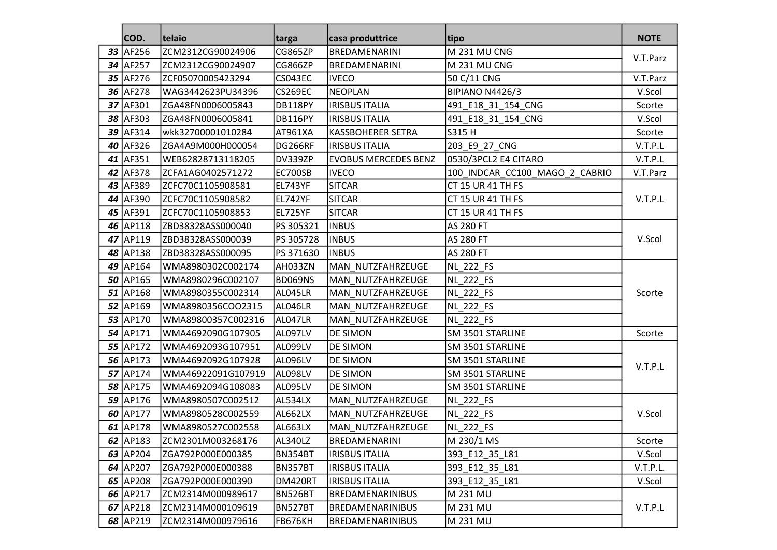|    | COD.       | telaio             | targa          | casa produttrice            | tipo                           | <b>NOTE</b> |
|----|------------|--------------------|----------------|-----------------------------|--------------------------------|-------------|
| 33 | AF256      | ZCM2312CG90024906  | <b>CG865ZP</b> | BREDAMENARINI               | M 231 MU CNG                   |             |
|    | 34 AF257   | ZCM2312CG90024907  | <b>CG866ZP</b> | BREDAMENARINI               | M 231 MU CNG                   | V.T.Parz    |
|    | 35 AF276   | ZCF05070005423294  | <b>CS043EC</b> | <b>IVECO</b>                | 50 C/11 CNG                    | V.T.Parz    |
|    | 36 AF278   | WAG3442623PU34396  | <b>CS269EC</b> | <b>NEOPLAN</b>              | <b>BIPIANO N4426/3</b>         | V.Scol      |
|    | 37 AF301   | ZGA48FN0006005843  | DB118PY        | <b>IRISBUS ITALIA</b>       | 491_E18_31_154_CNG             | Scorte      |
|    | 38 AF303   | ZGA48FN0006005841  | DB116PY        | <b>IRISBUS ITALIA</b>       | 491_E18_31_154_CNG             | V.Scol      |
|    | 39 AF314   | wkk32700001010284  | AT961XA        | <b>KASSBOHERER SETRA</b>    | S315 H                         | Scorte      |
|    | 40 AF326   | ZGA4A9M000H000054  | <b>DG266RF</b> | <b>IRISBUS ITALIA</b>       | 203_E9_27_CNG                  | V.T.P.L     |
|    | 41 AF351   | WEB62828713118205  | DV339ZP        | <b>EVOBUS MERCEDES BENZ</b> | 0530/3PCL2 E4 CITARO           | V.T.P.L     |
|    | 42 AF378   | ZCFA1AG0402571272  | <b>EC700SB</b> | <b>IVECO</b>                | 100_INDCAR_CC100_MAGO_2_CABRIO | V.T.Parz    |
|    | 43 AF389   | ZCFC70C1105908581  | <b>EL743YF</b> | <b>SITCAR</b>               | CT 15 UR 41 TH FS              |             |
|    | 44 AF390   | ZCFC70C1105908582  | <b>EL742YF</b> | <b>SITCAR</b>               | CT 15 UR 41 TH FS              | V.T.P.L     |
|    | 45 AF391   | ZCFC70C1105908853  | <b>EL725YF</b> | <b>SITCAR</b>               | CT 15 UR 41 TH FS              |             |
|    | 46 AP118   | ZBD38328ASS000040  | PS 305321      | <b>INBUS</b>                | <b>AS 280 FT</b>               |             |
|    | 47 AP119   | ZBD38328ASS000039  | PS 305728      | <b>INBUS</b>                | <b>AS 280 FT</b>               | V.Scol      |
|    | 48 AP138   | ZBD38328ASS000095  | PS 371630      | <b>INBUS</b>                | AS 280 FT                      |             |
|    | 49 AP164   | WMA8980302C002174  | AH033ZN        | MAN NUTZFAHRZEUGE           | <b>NL_222_FS</b>               |             |
|    | $50$ AP165 | WMA8980296C002107  | <b>BD069NS</b> | MAN_NUTZFAHRZEUGE           | <b>NL 222 FS</b>               |             |
|    | $51$ AP168 | WMA8980355C002314  | AL045LR        | MAN_NUTZFAHRZEUGE           | NL_222_FS                      | Scorte      |
|    | $52$ AP169 | WMA8980356COO2315  | AL046LR        | MAN_NUTZFAHRZEUGE           | <b>NL_222_FS</b>               |             |
|    | 53 AP170   | WMA89800357C002316 | AL047LR        | MAN_NUTZFAHRZEUGE           | NL_222_FS                      |             |
|    | 54 AP171   | WMA4692090G107905  | AL097LV        | <b>DE SIMON</b>             | SM 3501 STARLINE               | Scorte      |
|    | 55 AP172   | WMA4692093G107951  | AL099LV        | <b>DE SIMON</b>             | SM 3501 STARLINE               |             |
|    | 56 AP173   | WMA4692092G107928  | AL096LV        | <b>DE SIMON</b>             | SM 3501 STARLINE               | V.T.P.L     |
|    | $57$ AP174 | WMA46922091G107919 | AL098LV        | DE SIMON                    | SM 3501 STARLINE               |             |
|    | 58 AP175   | WMA4692094G108083  | AL095LV        | <b>DE SIMON</b>             | SM 3501 STARLINE               |             |
|    | 59 AP176   | WMA8980507C002512  | <b>AL534LX</b> | MAN_NUTZFAHRZEUGE           | <b>NL_222_FS</b>               |             |
|    | 60 AP177   | WMA8980528C002559  | <b>AL662LX</b> | MAN_NUTZFAHRZEUGE           | <b>NL_222_FS</b>               | V.Scol      |
|    | 61 AP178   | WMA8980527C002558  | <b>AL663LX</b> | MAN NUTZFAHRZEUGE           | NL_222_FS                      |             |
|    | 62 AP183   | ZCM2301M003268176  | AL340LZ        | <b>BREDAMENARINI</b>        | M 230/1 MS                     | Scorte      |
|    | $63$ AP204 | ZGA792P000E000385  | <b>BN354BT</b> | <b>IRISBUS ITALIA</b>       | 393_E12_35_L81                 | V.Scol      |
|    | 64 AP207   | ZGA792P000E000388  | BN357BT        | <b>IRISBUS ITALIA</b>       | 393 E12 35 L81                 | V.T.P.L.    |
|    | $65$ AP208 | ZGA792P000E000390  | DM420RT        | <b>IRISBUS ITALIA</b>       | 393 E12 35 L81                 | V.Scol      |
|    | 66 AP217   | ZCM2314M000989617  | BN526BT        | BREDAMENARINIBUS            | M 231 MU                       |             |
|    | $67$ AP218 | ZCM2314M000109619  | <b>BN527BT</b> | BREDAMENARINIBUS            | M 231 MU                       | V.T.P.L     |
|    | 68 AP219   | ZCM2314M000979616  | <b>FB676KH</b> | BREDAMENARINIBUS            | M 231 MU                       |             |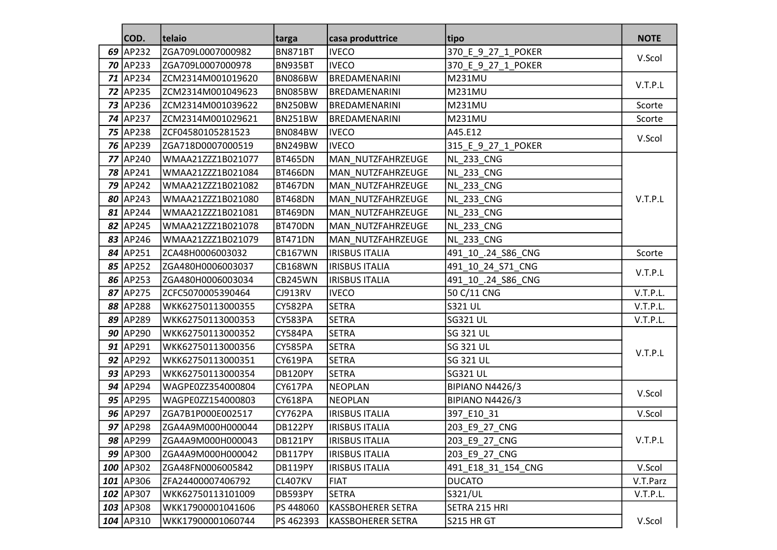|    | COD.            | telaio            | targa          | casa produttrice         | tipo                   | <b>NOTE</b> |
|----|-----------------|-------------------|----------------|--------------------------|------------------------|-------------|
| 69 | AP232           | ZGA709L0007000982 | <b>BN871BT</b> | <b>IVECO</b>             | 370 E 9 27 1 POKER     |             |
|    | $70$ AP233      | ZGA709L0007000978 | BN935BT        | <b>IVECO</b>             | 370 E 9 27 1 POKER     | V.Scol      |
|    | 71 AP234        | ZCM2314M001019620 | BN086BW        | <b>BREDAMENARINI</b>     | <b>M231MU</b>          |             |
|    | <b>72 AP235</b> | ZCM2314M001049623 | BN085BW        | BREDAMENARINI            | <b>M231MU</b>          | V.T.P.L     |
|    | 73 AP236        | ZCM2314M001039622 | BN250BW        | BREDAMENARINI            | <b>M231MU</b>          | Scorte      |
|    | 74 AP237        | ZCM2314M001029621 | <b>BN251BW</b> | BREDAMENARINI            | <b>M231MU</b>          | Scorte      |
|    | 75 AP238        | ZCF04580105281523 | <b>BN084BW</b> | <b>IVECO</b>             | A45.E12                |             |
|    | 76 AP239        | ZGA718D0007000519 | <b>BN249BW</b> | <b>IVECO</b>             | 315 E 9 27 1 POKER     | V.Scol      |
|    | 77 AP240        | WMAA21ZZZ1B021077 | <b>BT465DN</b> | MAN_NUTZFAHRZEUGE        | <b>NL_233_CNG</b>      |             |
|    | 78 AP241        | WMAA21ZZZ1B021084 | <b>BT466DN</b> | MAN NUTZFAHRZEUGE        | <b>NL_233_CNG</b>      |             |
|    | 79 AP242        | WMAA21ZZZ1B021082 | <b>BT467DN</b> | MAN_NUTZFAHRZEUGE        | NL_233_CNG             |             |
|    | 80 AP243        | WMAA21ZZZ1B021080 | <b>BT468DN</b> | MAN_NUTZFAHRZEUGE        | <b>NL_233_CNG</b>      | V.T.P.L     |
|    | 81 AP244        | WMAA21ZZZ1B021081 | <b>BT469DN</b> | MAN NUTZFAHRZEUGE        | NL_233_CNG             |             |
|    | 82 AP245        | WMAA21ZZZ1B021078 | BT470DN        | MAN_NUTZFAHRZEUGE        | <b>NL_233_CNG</b>      |             |
|    | 83 AP246        | WMAA21ZZZ1B021079 | BT471DN        | MAN_NUTZFAHRZEUGE        | <b>NL_233_CNG</b>      |             |
|    | 84 AP251        | ZCA48H0006003032  | <b>CB167WN</b> | <b>IRISBUS ITALIA</b>    | 491_10_.24_S86_CNG     | Scorte      |
|    | 85 AP252        | ZGA480H0006003037 | <b>CB168WN</b> | <b>IRISBUS ITALIA</b>    | 491_10_24_S71_CNG      | V.T.P.L     |
|    | 86 AP253        | ZGA480H0006003034 | <b>CB245WN</b> | <b>IRISBUS ITALIA</b>    | 491_10_.24_S86_CNG     |             |
|    | 87 AP275        | ZCFC5070005390464 | <b>CJ913RV</b> | <b>IVECO</b>             | 50 C/11 CNG            | V.T.P.L.    |
|    | 88 AP288        | WKK62750113000355 | CY582PA        | <b>SETRA</b>             | <b>S321 UL</b>         | V.T.P.L.    |
|    | 89 AP289        | WKK62750113000353 | CY583PA        | <b>SETRA</b>             | <b>SG321 UL</b>        | V.T.P.L.    |
|    | 90 AP290        | WKK62750113000352 | CY584PA        | <b>SETRA</b>             | <b>SG 321 UL</b>       |             |
|    | 91 AP291        | WKK62750113000356 | <b>CY585PA</b> | <b>SETRA</b>             | <b>SG 321 UL</b>       | V.T.P.L     |
|    | 92 AP292        | WKK62750113000351 | CY619PA        | <b>SETRA</b>             | <b>SG 321 UL</b>       |             |
|    | 93 AP293        | WKK62750113000354 | DB120PY        | <b>SETRA</b>             | <b>SG321 UL</b>        |             |
|    | $94$ AP294      | WAGPE0ZZ354000804 | <b>CY617PA</b> | <b>NEOPLAN</b>           | <b>BIPIANO N4426/3</b> |             |
|    | 95 AP295        | WAGPE0ZZ154000803 | CY618PA        | <b>NEOPLAN</b>           | <b>BIPIANO N4426/3</b> | V.Scol      |
|    | 96 AP297        | ZGA7B1P000E002517 | CY762PA        | <b>IRISBUS ITALIA</b>    | 397_E10_31             | V.Scol      |
|    | 97 AP298        | ZGA4A9M000H000044 | DB122PY        | <b>IRISBUS ITALIA</b>    | 203_E9_27_CNG          |             |
|    | 98 AP299        | ZGA4A9M000H000043 | DB121PY        | <b>IRISBUS ITALIA</b>    | 203_E9_27_CNG          | V.T.P.L     |
|    | 99 AP300        | ZGA4A9M000H000042 | DB117PY        | <b>IRISBUS ITALIA</b>    | 203 E9 27 CNG          |             |
|    | 100 AP302       | ZGA48FN0006005842 | DB119PY        | <b>IRISBUS ITALIA</b>    | 491 E18 31 154 CNG     | V.Scol      |
|    | 101 AP306       | ZFA24400007406792 | <b>CL407KV</b> | <b>FIAT</b>              | <b>DUCATO</b>          | V.T.Parz    |
|    | 102 AP307       | WKK62750113101009 | DB593PY        | <b>SETRA</b>             | S321/UL                | V.T.P.L.    |
|    | 103 AP308       | WKK17900001041606 | PS 448060      | <b>KASSBOHERER SETRA</b> | SETRA 215 HRI          |             |
|    | 104 AP310       | WKK17900001060744 | PS 462393      | KASSBOHERER SETRA        | S215 HR GT             | V.Scol      |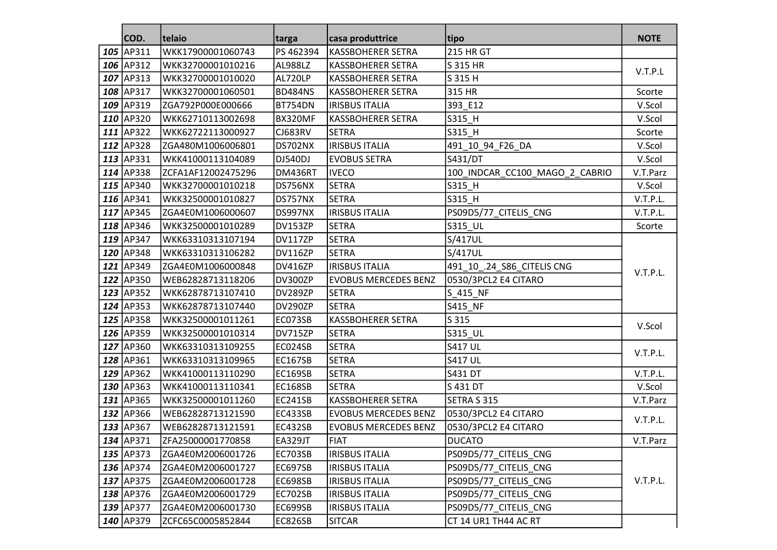|     | COD.        | telaio             | targa          | casa produttrice            | tipo                           | <b>NOTE</b> |
|-----|-------------|--------------------|----------------|-----------------------------|--------------------------------|-------------|
| 105 | AP311       | WKK17900001060743  | PS 462394      | <b>KASSBOHERER SETRA</b>    | <b>215 HR GT</b>               |             |
|     | 106 AP312   | WKK32700001010216  | <b>AL988LZ</b> | <b>KASSBOHERER SETRA</b>    | S 315 HR                       |             |
| 107 | AP313       | WKK32700001010020  | AL720LP        | <b>KASSBOHERER SETRA</b>    | S 315 H                        | V.T.P.L     |
| 108 | AP317       | WKK32700001060501  | <b>BD484NS</b> | <b>KASSBOHERER SETRA</b>    | 315 HR                         | Scorte      |
| 109 | AP319       | ZGA792P000E000666  | BT754DN        | <b>IRISBUS ITALIA</b>       | 393_E12                        | V.Scol      |
|     | 110 AP320   | WKK62710113002698  | BX320MF        | <b>KASSBOHERER SETRA</b>    | S315_H                         | V.Scol      |
| 111 | AP322       | WKK62722113000927  | <b>CJ683RV</b> | <b>SETRA</b>                | S315_H                         | Scorte      |
| 112 | AP328       | ZGA480M1006006801  | DS702NX        | <b>IRISBUS ITALIA</b>       | 491 10 94 F26 DA               | V.Scol      |
| 113 | AP331       | WKK41000113104089  | DJ540DJ        | <b>EVOBUS SETRA</b>         | S431/DT                        | V.Scol      |
| 114 | AP338       | ZCFA1AF12002475296 | DM436RT        | <b>IVECO</b>                | 100_INDCAR_CC100_MAGO_2_CABRIO | V.T.Parz    |
|     | 115 AP340   | WKK32700001010218  | DS756NX        | <b>SETRA</b>                | S315_H                         | V.Scol      |
|     | 116 AP341   | WKK32500001010827  | DS757NX        | <b>SETRA</b>                | S315_H                         | V.T.P.L.    |
| 117 | AP345       | ZGA4E0M1006000607  | DS997NX        | <b>IRISBUS ITALIA</b>       | PS09D5/77_CITELIS_CNG          | V.T.P.L.    |
|     | 118 AP346   | WKK32500001010289  | DV153ZP        | <b>SETRA</b>                | S315_UL                        | Scorte      |
| 119 | AP347       | WKK63310313107194  | DV117ZP        | <b>SETRA</b>                | S/417UL                        | V.T.P.L.    |
|     | 120 AP348   | WKK63310313106282  | DV116ZP        | <b>SETRA</b>                | S/417UL                        |             |
| 121 | AP349       | ZGA4E0M1006000848  | <b>DV416ZP</b> | <b>IRISBUS ITALIA</b>       | 491 10 .24 S86 CITELIS CNG     |             |
| 122 | AP350       | WEB62828713118206  | DV300ZP        | <b>EVOBUS MERCEDES BENZ</b> | 0530/3PCL2 E4 CITARO           |             |
| 123 | AP352       | WKK62878713107410  | DV289ZP        | <b>SETRA</b>                | S_415_NF                       |             |
| 124 | AP353       | WKK62878713107440  | DV290ZP        | <b>SETRA</b>                | S415_NF                        |             |
|     | 125 AP358   | WKK32500001011261  | EC073SB        | <b>KASSBOHERER SETRA</b>    | S 315                          | V.Scol      |
|     | 126 AP359   | WKK32500001010314  | DV715ZP        | <b>SETRA</b>                | S315_UL                        |             |
| 127 | AP360       | WKK63310313109255  | EC024SB        | <b>SETRA</b>                | <b>S417 UL</b>                 | V.T.P.L.    |
|     | 128 AP361   | WKK63310313109965  | <b>EC167SB</b> | <b>SETRA</b>                | <b>S417 UL</b>                 |             |
| 129 | AP362       | WKK41000113110290  | <b>EC169SB</b> | <b>SETRA</b>                | <b>S431 DT</b>                 | V.T.P.L.    |
|     | 130 AP363   | WKK41000113110341  | <b>EC168SB</b> | <b>SETRA</b>                | S 431 DT                       | V.Scol      |
| 131 | AP365       | WKK32500001011260  | <b>EC241SB</b> | <b>KASSBOHERER SETRA</b>    | SETRA S 315                    | V.T.Parz    |
| 132 | AP366       | WEB62828713121590  | <b>EC433SB</b> | <b>EVOBUS MERCEDES BENZ</b> | 0530/3PCL2 E4 CITARO           | V.T.P.L.    |
|     | 133 AP367   | WEB62828713121591  | <b>EC432SB</b> | <b>EVOBUS MERCEDES BENZ</b> | 0530/3PCL2 E4 CITARO           |             |
|     | 134 AP371   | ZFA25000001770858  | EA329JT        | <b>FIAT</b>                 | <b>DUCATO</b>                  | V.T.Parz    |
|     | 135 AP373   | ZGA4E0M2006001726  | EC703SB        | <b>IRISBUS ITALIA</b>       | PS09D5/77_CITELIS_CNG          |             |
|     | 136 AP374   | ZGA4E0M2006001727  | EC697SB        | <b>IRISBUS ITALIA</b>       | PS09D5/77 CITELIS CNG          |             |
|     | $137$ AP375 | ZGA4E0M2006001728  | EC698SB        | <b>IRISBUS ITALIA</b>       | PS09D5/77 CITELIS CNG          | V.T.P.L.    |
|     | 138 AP376   | ZGA4E0M2006001729  | EC702SB        | <b>IRISBUS ITALIA</b>       | PS09D5/77 CITELIS CNG          |             |
|     | 139 AP377   | ZGA4E0M2006001730  | EC699SB        | <b>IRISBUS ITALIA</b>       | PS09D5/77_CITELIS_CNG          |             |
|     | 140 AP379   | ZCFC65C0005852844  | EC826SB        | <b>SITCAR</b>               | CT 14 UR1 TH44 AC RT           |             |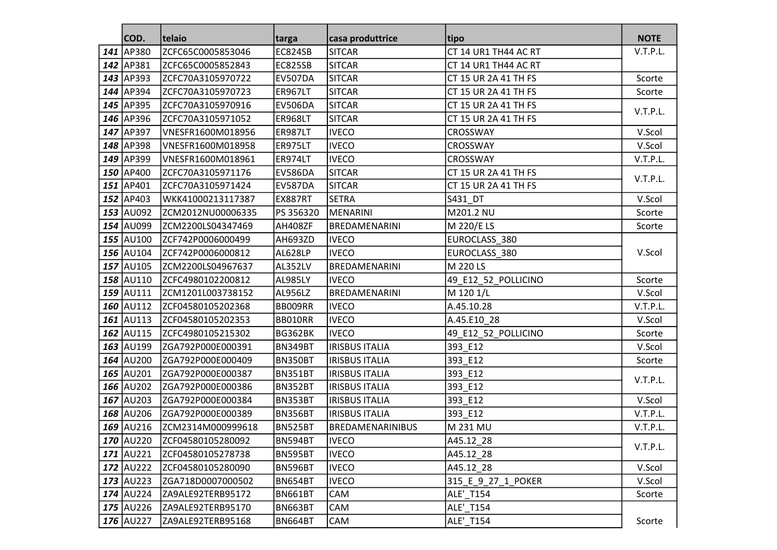|     | COD.             | telaio             | targa          | casa produttrice        | tipo                 | <b>NOTE</b> |
|-----|------------------|--------------------|----------------|-------------------------|----------------------|-------------|
| 141 | AP380            | ZCFC65C0005853046  | <b>EC824SB</b> | <b>SITCAR</b>           | CT 14 UR1 TH44 AC RT | V.T.P.L.    |
|     | 142 AP381        | ZCFC65C0005852843  | EC825SB        | <b>SITCAR</b>           | CT 14 UR1 TH44 AC RT |             |
| 143 | AP393            | ZCFC70A3105970722  | <b>EV507DA</b> | <b>SITCAR</b>           | CT 15 UR 2A 41 TH FS | Scorte      |
|     | 144 AP394        | ZCFC70A3105970723  | <b>ER967LT</b> | <b>SITCAR</b>           | CT 15 UR 2A 41 TH FS | Scorte      |
|     | 145 AP395        | ZCFC70A3105970916  | <b>EV506DA</b> | <b>SITCAR</b>           | CT 15 UR 2A 41 TH FS | V.T.P.L.    |
|     | 146 AP396        | ZCFC70A3105971052  | ER968LT        | <b>SITCAR</b>           | CT 15 UR 2A 41 TH FS |             |
|     | 147 AP397        | VNESFR1600M018956  | <b>ER987LT</b> | <b>IVECO</b>            | CROSSWAY             | V.Scol      |
|     | 148 AP398        | VNESFR1600M018958  | ER975LT        | <b>IVECO</b>            | CROSSWAY             | V.Scol      |
|     | 149 AP399        | VNESFR1600M018961  | ER974LT        | <b>IVECO</b>            | CROSSWAY             | V.T.P.L.    |
|     | 150 AP400        | ZCFC70A3105971176  | <b>EV586DA</b> | <b>SITCAR</b>           | CT 15 UR 2A 41 TH FS | V.T.P.L.    |
|     | 151 AP401        | ZCFC70A3105971424  | EV587DA        | <b>SITCAR</b>           | CT 15 UR 2A 41 TH FS |             |
|     | 152 AP403        | WKK41000213117387  | EX887RT        | <b>SETRA</b>            | S431_DT              | V.Scol      |
|     | 153 AU092        | ZCM2012NU00006335  | PS 356320      | MENARINI                | M201.2 NU            | Scorte      |
|     | 154 AU099        | ZCM2200LS04347469  | AH408ZF        | BREDAMENARINI           | M 220/E LS           | Scorte      |
|     | 155 AU100        | ZCF742P0006000499  | AH693ZD        | <b>IVECO</b>            | EUROCLASS_380        |             |
|     | 156 AU104        | ZCF742P0006000812  | <b>AL628LP</b> | <b>IVECO</b>            | EUROCLASS_380        | V.Scol      |
|     | 157 AU105        | ZCM2200LS04967637  | AL352LV        | BREDAMENARINI           | M 220 LS             |             |
|     | 158 AU110        | ZCFC4980102200812  | AL985LY        | <b>IVECO</b>            | 49_E12_52_POLLICINO  | Scorte      |
|     | 159 AU111        | ZCM1201L003738152  | <b>AL956LZ</b> | BREDAMENARINI           | M 120 1/L            | V.Scol      |
|     | 160 AU112        | ZCF04580105202368  | BB009RR        | <b>IVECO</b>            | A.45.10.28           | V.T.P.L.    |
|     | 161 AU113        | ZCF04580105202353  | BB010RR        | <b>IVECO</b>            | A.45.E10_28          | V.Scol      |
|     | 162 AU115        | ZCFC4980105215302  | <b>BG362BK</b> | <b>IVECO</b>            | 49_E12_52_POLLICINO  | Scorte      |
|     | 163 AU199        | ZGA792P000E000391  | <b>BN349BT</b> | <b>IRISBUS ITALIA</b>   | 393 E12              | V.Scol      |
|     | 164 AU200        | ZGA792P000E000409  | BN350BT        | <b>IRISBUS ITALIA</b>   | 393_E12              | Scorte      |
|     | 165 AU201        | ZGA792P000E000387  | <b>BN351BT</b> | <b>IRISBUS ITALIA</b>   | 393_E12              | V.T.P.L.    |
|     | 166 AU202        | ZGA792P000E000386  | <b>BN352BT</b> | <b>IRISBUS ITALIA</b>   | 393_E12              |             |
| 167 | AU203            | ZGA792P000E000384  | BN353BT        | <b>IRISBUS ITALIA</b>   | 393_E12              | V.Scol      |
|     | 168 AU206        | ZGA792P000E000389  | BN356BT        | <b>IRISBUS ITALIA</b>   | 393_E12              | V.T.P.L.    |
|     | 169 AU216        | ZCM2314M000999618  | <b>BN525BT</b> | <b>BREDAMENARINIBUS</b> | M 231 MU             | V.T.P.L.    |
|     | <b>170 AU220</b> | ZCF04580105280092  | BN594BT        | <b>IVECO</b>            | A45.12_28            | V.T.P.L.    |
|     | $171$ AU221      | ZCF04580105278738  | BN595BT        | <b>IVECO</b>            | A45.12_28            |             |
|     | $172$ AU222      | IZCF04580105280090 | BN596BT        | <b>IVECO</b>            | A45.12 28            | V.Scol      |
|     | $173$ AU223      | ZGA718D0007000502  | <b>BN654BT</b> | <b>IVECO</b>            | 315 E 9 27 1 POKER   | V.Scol      |
|     | $174$ AU224      | ZA9ALE92TERB95172  | <b>BN661BT</b> | CAM                     | <b>ALE' T154</b>     | Scorte      |
|     | 175 AU226        | ZA9ALE92TERB95170  | <b>BN663BT</b> | CAM                     | <b>ALE' T154</b>     |             |
|     | $176$ AU227      | ZA9ALE92TERB95168  | <b>BN664BT</b> | CAM                     | ALE'_T154            | Scorte      |